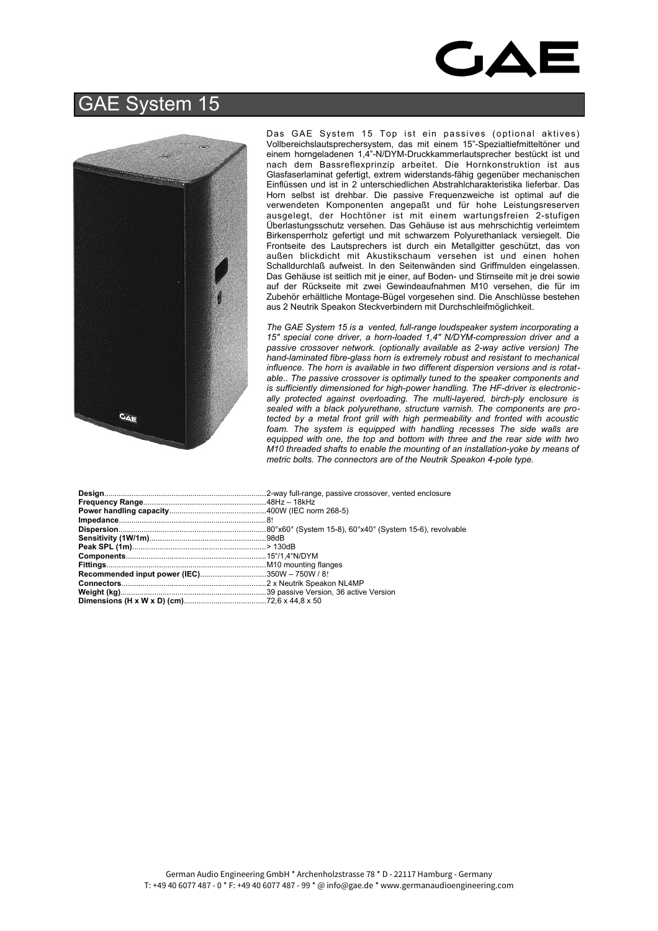## $\Delta$

## GAE System 15



Das GAE System 15 Top ist ein passives (optional aktives) Vollbereichslautsprechersystem, das mit einem 15"-Spezialtiefmitteltöner und einem horngeladenen 1,4"-N/DYM-Druckkammerlautsprecher bestückt ist und nach dem Bassreflexprinzip arbeitet. Die Hornkonstruktion ist aus Glasfaserlaminat gefertigt, extrem widerstands-fähig gegenüber mechanischen Einflüssen und ist in 2 unterschiedlichen Abstrahlcharakteristika lieferbar. Das Horn selbst ist drehbar. Die passive Frequenzweiche ist optimal auf die verwendeten Komponenten angepaßt und für hohe Leistungsreserven ausgelegt, der Hochtöner ist mit einem wartungsfreien 2-stufigen Überlastungsschutz versehen. Das Gehäuse ist aus mehrschichtig verleimtem Birkensperrholz gefertigt und mit schwarzem Polyurethanlack versiegelt. Die Frontseite des Lautsprechers ist durch ein Metallgitter geschützt, das von außen blickdicht mit Akustikschaum versehen ist und einen hohen Schalldurchlaß aufweist. In den Seitenwänden sind Griffmulden eingelassen. Das Gehäuse ist seitlich mit je einer, auf Boden- und Stirnseite mit je drei sowie auf der Rückseite mit zwei Gewindeaufnahmen M10 versehen, die für im Zubehör erhältliche Montage-Bügel vorgesehen sind. Die Anschlüsse bestehen aus 2 Neutrik Speakon Steckverbindern mit Durchschleifmöglichkeit.

*The GAE System 15 is a vented, full-range loudspeaker system incorporating a 15" special cone driver, a horn-loaded 1,4" N/DYM-compression driver and a passive crossover network. (optionally available as 2-way active version) The hand-laminated fibre-glass horn is extremely robust and resistant to mechanical influence. The horn is available in two different dispersion versions and is rotatable.. The passive crossover is optimally tuned to the speaker components and is sufficiently dimensioned for high-power handling. The HF-driver is electronically protected against overloading. The multi-layered, birch-ply enclosure is sealed with a black polyurethane, structure varnish. The components are protected by a metal front grill with high permeability and fronted with acoustic foam. The system is equipped with handling recesses The side walls are equipped with one, the top and bottom with three and the rear side with two M10 threaded shafts to enable the mounting of an installation-yoke by means of metric bolts. The connectors are of the Neutrik Speakon 4-pole type.*

| Recommended input power (IEC)350W - 750W / 8! |  |
|-----------------------------------------------|--|
|                                               |  |
|                                               |  |
|                                               |  |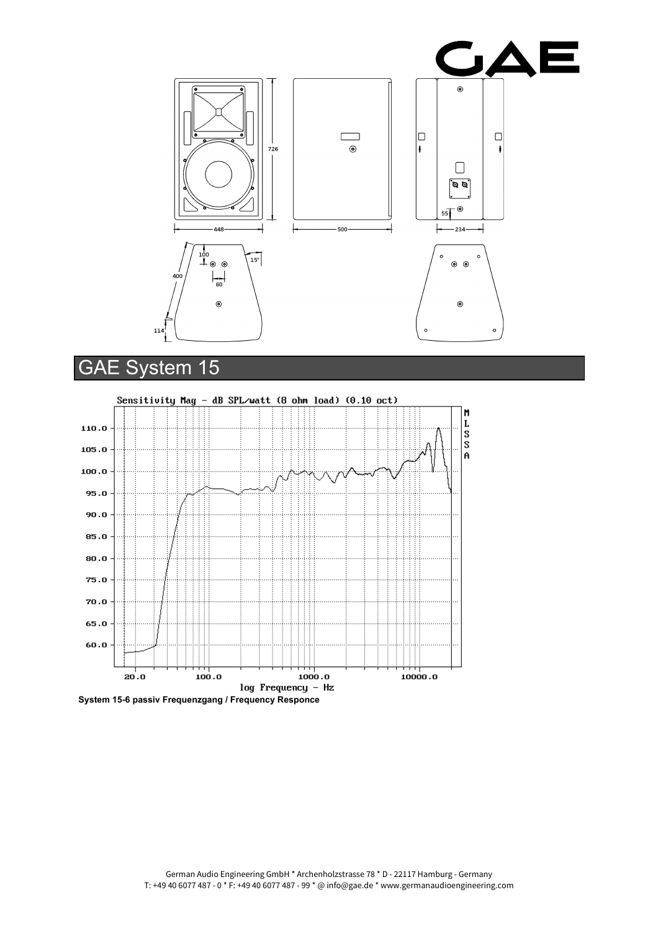

## GAE System 15